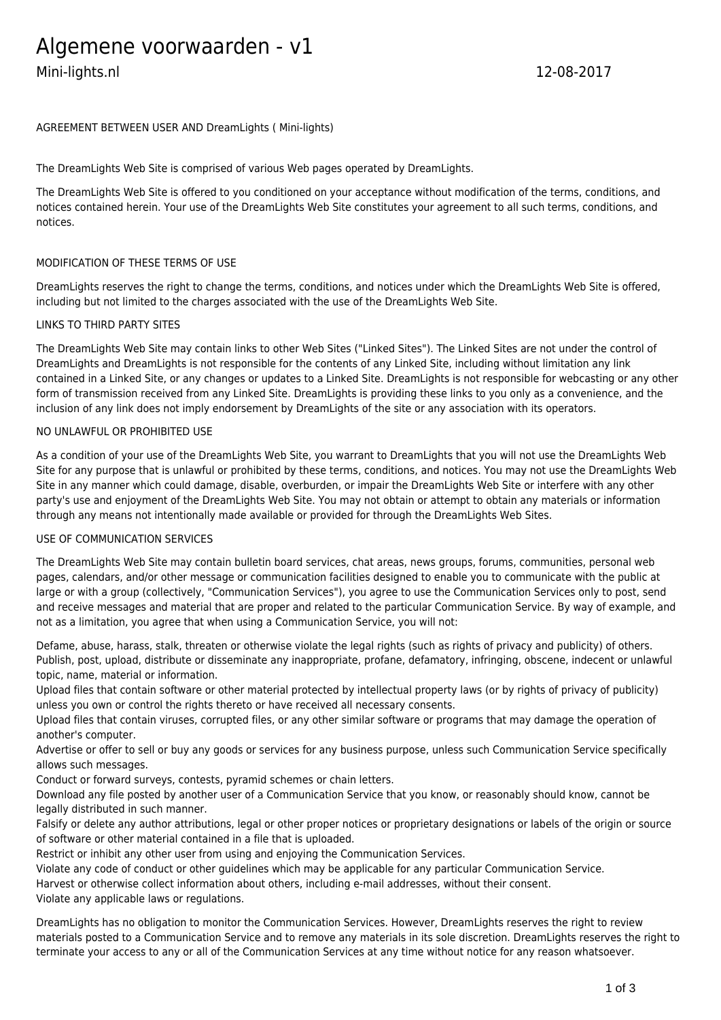# Algemene voorwaarden - v1

Mini-lights.nl 12-08-2017

#### AGREEMENT BETWEEN USER AND DreamLights ( Mini-lights)

The DreamLights Web Site is comprised of various Web pages operated by DreamLights.

The DreamLights Web Site is offered to you conditioned on your acceptance without modification of the terms, conditions, and notices contained herein. Your use of the DreamLights Web Site constitutes your agreement to all such terms, conditions, and notices.

## MODIFICATION OF THESE TERMS OF USE

DreamLights reserves the right to change the terms, conditions, and notices under which the DreamLights Web Site is offered, including but not limited to the charges associated with the use of the DreamLights Web Site.

## LINKS TO THIRD PARTY SITES

The DreamLights Web Site may contain links to other Web Sites ("Linked Sites"). The Linked Sites are not under the control of DreamLights and DreamLights is not responsible for the contents of any Linked Site, including without limitation any link contained in a Linked Site, or any changes or updates to a Linked Site. DreamLights is not responsible for webcasting or any other form of transmission received from any Linked Site. DreamLights is providing these links to you only as a convenience, and the inclusion of any link does not imply endorsement by DreamLights of the site or any association with its operators.

#### NO UNLAWFUL OR PROHIBITED USE

As a condition of your use of the DreamLights Web Site, you warrant to DreamLights that you will not use the DreamLights Web Site for any purpose that is unlawful or prohibited by these terms, conditions, and notices. You may not use the DreamLights Web Site in any manner which could damage, disable, overburden, or impair the DreamLights Web Site or interfere with any other party's use and enjoyment of the DreamLights Web Site. You may not obtain or attempt to obtain any materials or information through any means not intentionally made available or provided for through the DreamLights Web Sites.

#### USE OF COMMUNICATION SERVICES

The DreamLights Web Site may contain bulletin board services, chat areas, news groups, forums, communities, personal web pages, calendars, and/or other message or communication facilities designed to enable you to communicate with the public at large or with a group (collectively, "Communication Services"), you agree to use the Communication Services only to post, send and receive messages and material that are proper and related to the particular Communication Service. By way of example, and not as a limitation, you agree that when using a Communication Service, you will not:

Defame, abuse, harass, stalk, threaten or otherwise violate the legal rights (such as rights of privacy and publicity) of others. Publish, post, upload, distribute or disseminate any inappropriate, profane, defamatory, infringing, obscene, indecent or unlawful topic, name, material or information.

Upload files that contain software or other material protected by intellectual property laws (or by rights of privacy of publicity) unless you own or control the rights thereto or have received all necessary consents.

Upload files that contain viruses, corrupted files, or any other similar software or programs that may damage the operation of another's computer.

Advertise or offer to sell or buy any goods or services for any business purpose, unless such Communication Service specifically allows such messages.

Conduct or forward surveys, contests, pyramid schemes or chain letters.

Download any file posted by another user of a Communication Service that you know, or reasonably should know, cannot be legally distributed in such manner.

Falsify or delete any author attributions, legal or other proper notices or proprietary designations or labels of the origin or source of software or other material contained in a file that is uploaded.

Restrict or inhibit any other user from using and enjoying the Communication Services.

Violate any code of conduct or other guidelines which may be applicable for any particular Communication Service.

Harvest or otherwise collect information about others, including e-mail addresses, without their consent.

Violate any applicable laws or regulations.

DreamLights has no obligation to monitor the Communication Services. However, DreamLights reserves the right to review materials posted to a Communication Service and to remove any materials in its sole discretion. DreamLights reserves the right to terminate your access to any or all of the Communication Services at any time without notice for any reason whatsoever.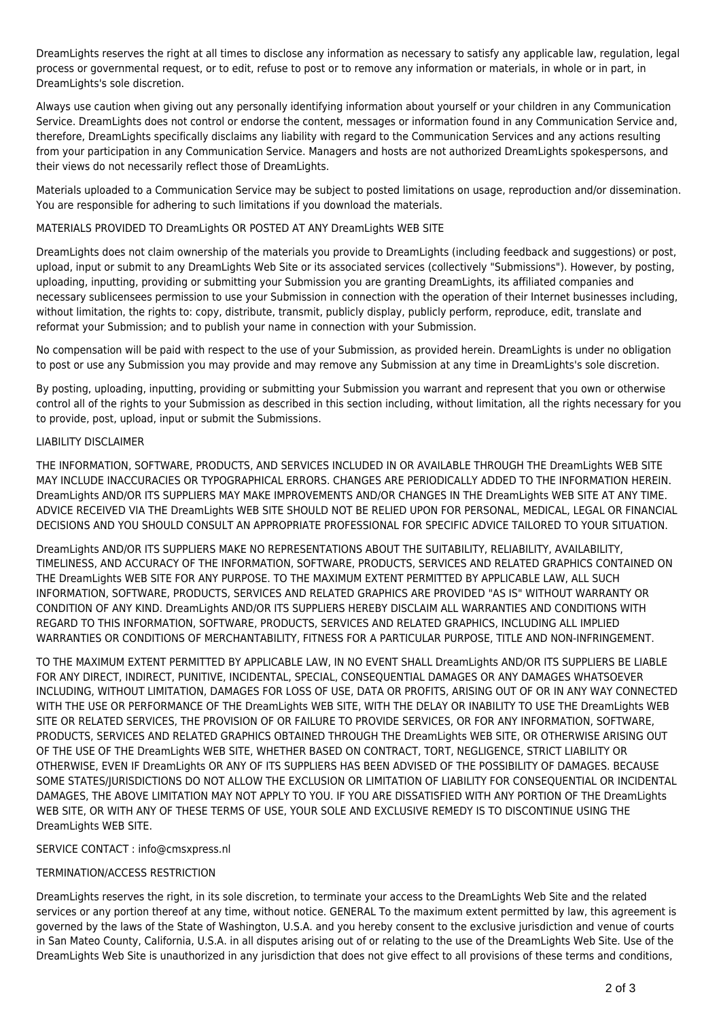DreamLights reserves the right at all times to disclose any information as necessary to satisfy any applicable law, regulation, legal process or governmental request, or to edit, refuse to post or to remove any information or materials, in whole or in part, in DreamLights's sole discretion.

Always use caution when giving out any personally identifying information about yourself or your children in any Communication Service. DreamLights does not control or endorse the content, messages or information found in any Communication Service and, therefore, DreamLights specifically disclaims any liability with regard to the Communication Services and any actions resulting from your participation in any Communication Service. Managers and hosts are not authorized DreamLights spokespersons, and their views do not necessarily reflect those of DreamLights.

Materials uploaded to a Communication Service may be subject to posted limitations on usage, reproduction and/or dissemination. You are responsible for adhering to such limitations if you download the materials.

## MATERIALS PROVIDED TO DreamLights OR POSTED AT ANY DreamLights WEB SITE

DreamLights does not claim ownership of the materials you provide to DreamLights (including feedback and suggestions) or post, upload, input or submit to any DreamLights Web Site or its associated services (collectively "Submissions"). However, by posting, uploading, inputting, providing or submitting your Submission you are granting DreamLights, its affiliated companies and necessary sublicensees permission to use your Submission in connection with the operation of their Internet businesses including, without limitation, the rights to: copy, distribute, transmit, publicly display, publicly perform, reproduce, edit, translate and reformat your Submission; and to publish your name in connection with your Submission.

No compensation will be paid with respect to the use of your Submission, as provided herein. DreamLights is under no obligation to post or use any Submission you may provide and may remove any Submission at any time in DreamLights's sole discretion.

By posting, uploading, inputting, providing or submitting your Submission you warrant and represent that you own or otherwise control all of the rights to your Submission as described in this section including, without limitation, all the rights necessary for you to provide, post, upload, input or submit the Submissions.

## LIABILITY DISCLAIMER

THE INFORMATION, SOFTWARE, PRODUCTS, AND SERVICES INCLUDED IN OR AVAILABLE THROUGH THE DreamLights WEB SITE MAY INCLUDE INACCURACIES OR TYPOGRAPHICAL ERRORS. CHANGES ARE PERIODICALLY ADDED TO THE INFORMATION HEREIN. DreamLights AND/OR ITS SUPPLIERS MAY MAKE IMPROVEMENTS AND/OR CHANGES IN THE DreamLights WEB SITE AT ANY TIME. ADVICE RECEIVED VIA THE DreamLights WEB SITE SHOULD NOT BE RELIED UPON FOR PERSONAL, MEDICAL, LEGAL OR FINANCIAL DECISIONS AND YOU SHOULD CONSULT AN APPROPRIATE PROFESSIONAL FOR SPECIFIC ADVICE TAILORED TO YOUR SITUATION.

DreamLights AND/OR ITS SUPPLIERS MAKE NO REPRESENTATIONS ABOUT THE SUITABILITY, RELIABILITY, AVAILABILITY, TIMELINESS, AND ACCURACY OF THE INFORMATION, SOFTWARE, PRODUCTS, SERVICES AND RELATED GRAPHICS CONTAINED ON THE DreamLights WEB SITE FOR ANY PURPOSE. TO THE MAXIMUM EXTENT PERMITTED BY APPLICABLE LAW, ALL SUCH INFORMATION, SOFTWARE, PRODUCTS, SERVICES AND RELATED GRAPHICS ARE PROVIDED "AS IS" WITHOUT WARRANTY OR CONDITION OF ANY KIND. DreamLights AND/OR ITS SUPPLIERS HEREBY DISCLAIM ALL WARRANTIES AND CONDITIONS WITH REGARD TO THIS INFORMATION, SOFTWARE, PRODUCTS, SERVICES AND RELATED GRAPHICS, INCLUDING ALL IMPLIED WARRANTIES OR CONDITIONS OF MERCHANTABILITY, FITNESS FOR A PARTICULAR PURPOSE, TITLE AND NON-INFRINGEMENT.

TO THE MAXIMUM EXTENT PERMITTED BY APPLICABLE LAW, IN NO EVENT SHALL DreamLights AND/OR ITS SUPPLIERS BE LIABLE FOR ANY DIRECT, INDIRECT, PUNITIVE, INCIDENTAL, SPECIAL, CONSEQUENTIAL DAMAGES OR ANY DAMAGES WHATSOEVER INCLUDING, WITHOUT LIMITATION, DAMAGES FOR LOSS OF USE, DATA OR PROFITS, ARISING OUT OF OR IN ANY WAY CONNECTED WITH THE USE OR PERFORMANCE OF THE DreamLights WEB SITE, WITH THE DELAY OR INABILITY TO USE THE DreamLights WEB SITE OR RELATED SERVICES, THE PROVISION OF OR FAILURE TO PROVIDE SERVICES, OR FOR ANY INFORMATION, SOFTWARE, PRODUCTS, SERVICES AND RELATED GRAPHICS OBTAINED THROUGH THE DreamLights WEB SITE, OR OTHERWISE ARISING OUT OF THE USE OF THE DreamLights WEB SITE, WHETHER BASED ON CONTRACT, TORT, NEGLIGENCE, STRICT LIABILITY OR OTHERWISE, EVEN IF DreamLights OR ANY OF ITS SUPPLIERS HAS BEEN ADVISED OF THE POSSIBILITY OF DAMAGES. BECAUSE SOME STATES/JURISDICTIONS DO NOT ALLOW THE EXCLUSION OR LIMITATION OF LIABILITY FOR CONSEQUENTIAL OR INCIDENTAL DAMAGES, THE ABOVE LIMITATION MAY NOT APPLY TO YOU. IF YOU ARE DISSATISFIED WITH ANY PORTION OF THE DreamLights WEB SITE, OR WITH ANY OF THESE TERMS OF USE, YOUR SOLE AND EXCLUSIVE REMEDY IS TO DISCONTINUE USING THE DreamLights WEB SITE.

#### SERVICE CONTACT : info@cmsxpress.nl

## TERMINATION/ACCESS RESTRICTION

DreamLights reserves the right, in its sole discretion, to terminate your access to the DreamLights Web Site and the related services or any portion thereof at any time, without notice. GENERAL To the maximum extent permitted by law, this agreement is governed by the laws of the State of Washington, U.S.A. and you hereby consent to the exclusive jurisdiction and venue of courts in San Mateo County, California, U.S.A. in all disputes arising out of or relating to the use of the DreamLights Web Site. Use of the DreamLights Web Site is unauthorized in any jurisdiction that does not give effect to all provisions of these terms and conditions,